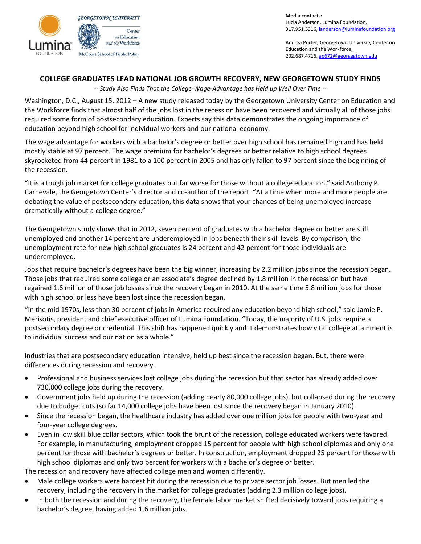

**Media contacts:**  Lucia Anderson, Lumina Foundation, 317.951.5316[, landerson@luminafoundation.org](mailto:landerson@luminafoundation.org)

Andrea Porter**,** Georgetown University Center on Education and the Workforce, 202.687.4716[, ap672@georgegtown.edu](mailto:ap672@georgegtown.edu)

## **COLLEGE GRADUATES LEAD NATIONAL JOB GROWTH RECOVERY, NEW GEORGETOWN STUDY FINDS**

*-- Study Also Finds That the College-Wage-Advantage has Held up Well Over Time --*

Washington, D.C., August 15, 2012 – A new study released today by the Georgetown University Center on Education and the Workforce finds that almost half of the jobs lost in the recession have been recovered and virtually all of those jobs required some form of postsecondary education. Experts say this data demonstrates the ongoing importance of education beyond high school for individual workers and our national economy.

The wage advantage for workers with a bachelor's degree or better over high school has remained high and has held mostly stable at 97 percent. The wage premium for bachelor's degrees or better relative to high school degrees skyrocketed from 44 percent in 1981 to a 100 percent in 2005 and has only fallen to 97 percent since the beginning of the recession.

"It is a tough job market for college graduates but far worse for those without a college education," said Anthony P. Carnevale, the Georgetown Center's director and co-author of the report. "At a time when more and more people are debating the value of postsecondary education, this data shows that your chances of being unemployed increase dramatically without a college degree."

The Georgetown study shows that in 2012, seven percent of graduates with a bachelor degree or better are still unemployed and another 14 percent are underemployed in jobs beneath their skill levels. By comparison, the unemployment rate for new high school graduates is 24 percent and 42 percent for those individuals are underemployed.

Jobs that require bachelor's degrees have been the big winner, increasing by 2.2 million jobs since the recession began. Those jobs that required some college or an associate's degree declined by 1.8 million in the recession but have regained 1.6 million of those job losses since the recovery began in 2010. At the same time 5.8 million jobs for those with high school or less have been lost since the recession began.

"In the mid 1970s, less than 30 percent of jobs in America required any education beyond high school," said Jamie P. Merisotis, president and chief executive officer of Lumina Foundation. "Today, the majority of U.S. jobs require a postsecondary degree or credential. This shift has happened quickly and it demonstrates how vital college attainment is to individual success and our nation as a whole."

Industries that are postsecondary education intensive, held up best since the recession began. But, there were differences during recession and recovery.

- Professional and business services lost college jobs during the recession but that sector has already added over 730,000 college jobs during the recovery.
- Government jobs held up during the recession (adding nearly 80,000 college jobs), but collapsed during the recovery due to budget cuts (so far 14,000 college jobs have been lost since the recovery began in January 2010).
- Since the recession began, the healthcare industry has added over one million jobs for people with two-year and four-year college degrees.
- Even in low skill blue collar sectors, which took the brunt of the recession, college educated workers were favored. For example, in manufacturing, employment dropped 15 percent for people with high school diplomas and only one percent for those with bachelor's degrees or better. In construction, employment dropped 25 percent for those with high school diplomas and only two percent for workers with a bachelor's degree or better.

The recession and recovery have affected college men and women differently.

- Male college workers were hardest hit during the recession due to private sector job losses. But men led the recovery, including the recovery in the market for college graduates (adding 2.3 million college jobs).
- In both the recession and during the recovery, the female labor market shifted decisively toward jobs requiring a bachelor's degree, having added 1.6 million jobs.